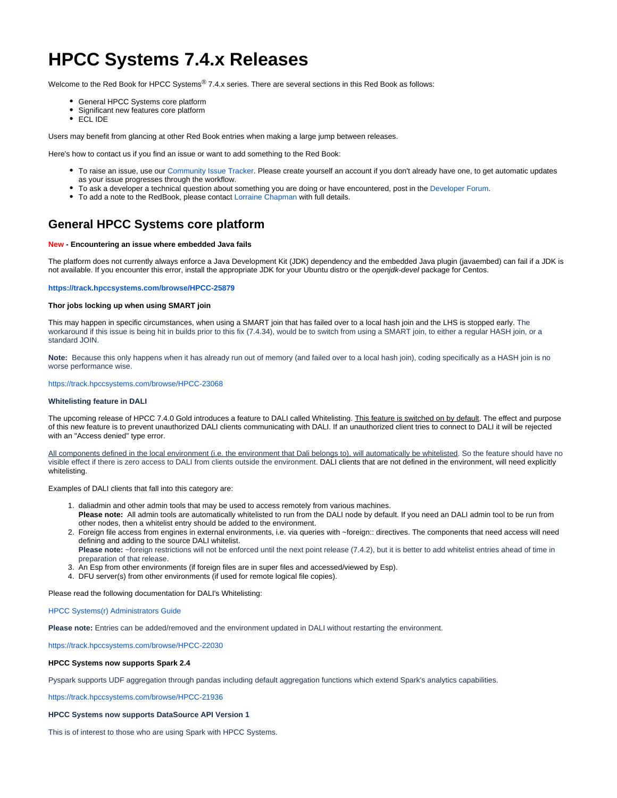# **HPCC Systems 7.4.x Releases**

Welcome to the Red Book for HPCC Systems® 7.4.x series. There are several sections in this Red Book as follows:

- General HPCC Systems core platform
- Significant new features core platform
- ECL IDE

Users may benefit from glancing at other Red Book entries when making a large jump between releases.

Here's how to contact us if you find an issue or want to add something to the Red Book:

- To raise an issue, use our [Community Issue Tracker.](https://track.hpccsystems.com/secure/Dashboard.jspa) Please create yourself an account if you don't already have one, to get automatic updates as your issue progresses through the workflow.
- To ask a developer a technical question about something you are doing or have encountered, post in the [Developer Forum.](https://hpccsystems.com/bb/viewforum.php?f=4&sid=9605bd30e6f01adf5e2f5d3ceff659f5)
- To add a note to the RedBook, please contact [Lorraine Chapman](mailto:Lorraine.Chapman@lexisnexisrisk.com) with full details.

# **General HPCC Systems core platform**

### **New - Encountering an issue where embedded Java fails**

The platform does not currently always enforce a Java Development Kit (JDK) dependency and the embedded Java plugin (javaembed) can fail if a JDK is not available. If you encounter this error, install the appropriate JDK for your Ubuntu distro or the openjdk-devel package for Centos.

#### **<https://track.hpccsystems.com/browse/HPCC-25879>**

# **Thor jobs locking up when using SMART join**

This may happen in specific circumstances, when using a SMART join that has failed over to a local hash join and the LHS is stopped early. The workaround if this issue is being hit in builds prior to this fix (7.4.34), would be to switch from using a SMART join, to either a regular HASH join, or a standard JOIN.

**Note:** Because this only happens when it has already run out of memory (and failed over to a local hash join), coding specifically as a HASH join is no worse performance wise.

<https://track.hpccsystems.com/browse/HPCC-23068>

#### **Whitelisting feature in DALI**

The upcoming release of HPCC 7.4.0 Gold introduces a feature to DALI called Whitelisting. This feature is switched on by default. The effect and purpose of this new feature is to prevent unauthorized DALI clients communicating with DALI. If an unauthorized client tries to connect to DALI it will be rejected with an "Access denied" type error.

All components defined in the local environment (i.e. the environment that Dali belongs to), will automatically be whitelisted. So the feature should have no visible effect if there is zero access to DALI from clients outside the environment. DALI clients that are not defined in the environment, will need explicitly whitelisting.

Examples of DALI clients that fall into this category are:

- 1. daliadmin and other admin tools that may be used to access remotely from various machines.
- **Please note:** All admin tools are automatically whitelisted to run from the DALI node by default. If you need an DALI admin tool to be run from other nodes, then a whitelist entry should be added to the environment.
- 2. Foreign file access from engines in external environments, i.e. via queries with ~foreign:: directives. The components that need access will need defining and adding to the source DALI whitelist. Please note: ~foreign restrictions will not be enforced until the next point release (7.4.2), but it is better to add whitelist entries ahead of time in preparation of that release.
- 3. An Esp from other environments (if foreign files are in super files and accessed/viewed by Esp).
- 4. DFU server(s) from other environments (if used for remote logical file copies).

Please read the following documentation for DALI's Whitelisting:

#### [HPCC Systems\(r\) Administrators Guide](https://d2wulyp08c6njk.cloudfront.net/releases/CE-Candidate-7.4.0/docs/EN_US/HPCCSystemAdministratorsGuide_EN_US-7.4.0-1.pdf#page=117)

**Please note:** Entries can be added/removed and the environment updated in DALI without restarting the environment.

<https://track.hpccsystems.com/browse/HPCC-22030>

## **HPCC Systems now supports Spark 2.4**

Pyspark supports UDF aggregation through pandas including default aggregation functions which extend Spark's analytics capabilities.

<https://track.hpccsystems.com/browse/HPCC-21936>

#### **HPCC Systems now supports DataSource API Version 1**

This is of interest to those who are using Spark with HPCC Systems.